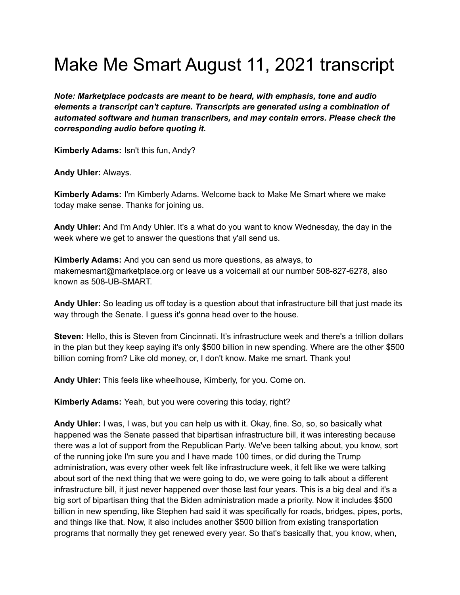## Make Me Smart August 11, 2021 transcript

*Note: Marketplace podcasts are meant to be heard, with emphasis, tone and audio elements a transcript can't capture. Transcripts are generated using a combination of automated software and human transcribers, and may contain errors. Please check the corresponding audio before quoting it.*

**Kimberly Adams:** Isn't this fun, Andy?

**Andy Uhler:** Always.

**Kimberly Adams:** I'm Kimberly Adams. Welcome back to Make Me Smart where we make today make sense. Thanks for joining us.

**Andy Uhler:** And I'm Andy Uhler. It's a what do you want to know Wednesday, the day in the week where we get to answer the questions that y'all send us.

**Kimberly Adams:** And you can send us more questions, as always, to makemesmart@marketplace.org or leave us a voicemail at our number 508-827-6278, also known as 508-UB-SMART.

**Andy Uhler:** So leading us off today is a question about that infrastructure bill that just made its way through the Senate. I guess it's gonna head over to the house.

**Steven:** Hello, this is Steven from Cincinnati. It's infrastructure week and there's a trillion dollars in the plan but they keep saying it's only \$500 billion in new spending. Where are the other \$500 billion coming from? Like old money, or, I don't know. Make me smart. Thank you!

**Andy Uhler:** This feels like wheelhouse, Kimberly, for you. Come on.

**Kimberly Adams:** Yeah, but you were covering this today, right?

**Andy Uhler:** I was, I was, but you can help us with it. Okay, fine. So, so, so basically what happened was the Senate passed that bipartisan infrastructure bill, it was interesting because there was a lot of support from the Republican Party. We've been talking about, you know, sort of the running joke I'm sure you and I have made 100 times, or did during the Trump administration, was every other week felt like infrastructure week, it felt like we were talking about sort of the next thing that we were going to do, we were going to talk about a different infrastructure bill, it just never happened over those last four years. This is a big deal and it's a big sort of bipartisan thing that the Biden administration made a priority. Now it includes \$500 billion in new spending, like Stephen had said it was specifically for roads, bridges, pipes, ports, and things like that. Now, it also includes another \$500 billion from existing transportation programs that normally they get renewed every year. So that's basically that, you know, when,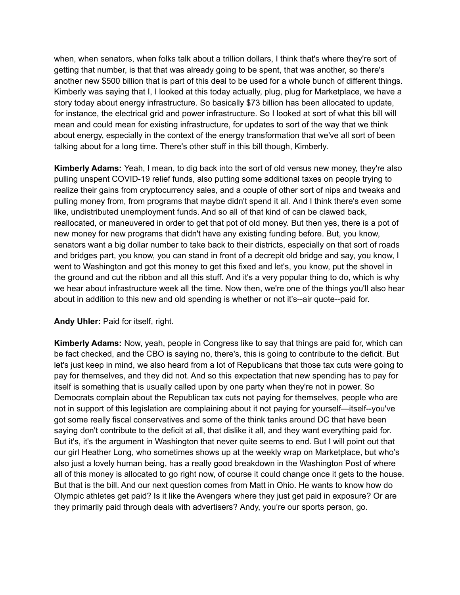when, when senators, when folks talk about a trillion dollars, I think that's where they're sort of getting that number, is that that was already going to be spent, that was another, so there's another new \$500 billion that is part of this deal to be used for a whole bunch of different things. Kimberly was saying that I, I looked at this today actually, plug, plug for Marketplace, we have a story today about energy infrastructure. So basically \$73 billion has been allocated to update, for instance, the electrical grid and power infrastructure. So I looked at sort of what this bill will mean and could mean for existing infrastructure, for updates to sort of the way that we think about energy, especially in the context of the energy transformation that we've all sort of been talking about for a long time. There's other stuff in this bill though, Kimberly.

**Kimberly Adams:** Yeah, I mean, to dig back into the sort of old versus new money, they're also pulling unspent COVID-19 relief funds, also putting some additional taxes on people trying to realize their gains from cryptocurrency sales, and a couple of other sort of nips and tweaks and pulling money from, from programs that maybe didn't spend it all. And I think there's even some like, undistributed unemployment funds. And so all of that kind of can be clawed back, reallocated, or maneuvered in order to get that pot of old money. But then yes, there is a pot of new money for new programs that didn't have any existing funding before. But, you know, senators want a big dollar number to take back to their districts, especially on that sort of roads and bridges part, you know, you can stand in front of a decrepit old bridge and say, you know, I went to Washington and got this money to get this fixed and let's, you know, put the shovel in the ground and cut the ribbon and all this stuff. And it's a very popular thing to do, which is why we hear about infrastructure week all the time. Now then, we're one of the things you'll also hear about in addition to this new and old spending is whether or not it's--air quote--paid for.

## **Andy Uhler:** Paid for itself, right.

**Kimberly Adams:** Now, yeah, people in Congress like to say that things are paid for, which can be fact checked, and the CBO is saying no, there's, this is going to contribute to the deficit. But let's just keep in mind, we also heard from a lot of Republicans that those tax cuts were going to pay for themselves, and they did not. And so this expectation that new spending has to pay for itself is something that is usually called upon by one party when they're not in power. So Democrats complain about the Republican tax cuts not paying for themselves, people who are not in support of this legislation are complaining about it not paying for yourself—itself--you've got some really fiscal conservatives and some of the think tanks around DC that have been saying don't contribute to the deficit at all, that dislike it all, and they want everything paid for. But it's, it's the argument in Washington that never quite seems to end. But I will point out that our girl Heather Long, who sometimes shows up at the weekly wrap on Marketplace, but who's also just a lovely human being, has a really good breakdown in the Washington Post of where all of this money is allocated to go right now, of course it could change once it gets to the house. But that is the bill. And our next question comes from Matt in Ohio. He wants to know how do Olympic athletes get paid? Is it like the Avengers where they just get paid in exposure? Or are they primarily paid through deals with advertisers? Andy, you're our sports person, go.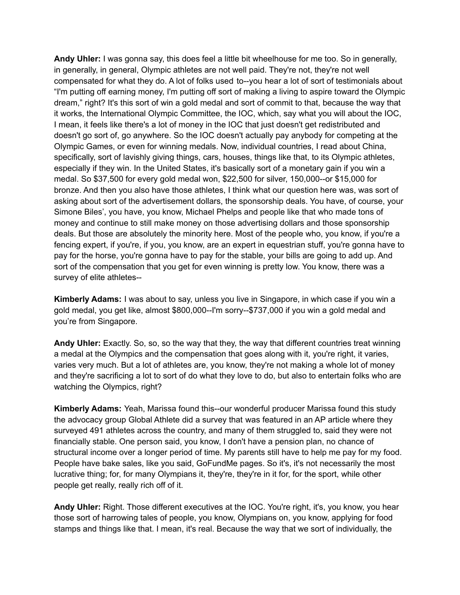**Andy Uhler:** I was gonna say, this does feel a little bit wheelhouse for me too. So in generally, in generally, in general, Olympic athletes are not well paid. They're not, they're not well compensated for what they do. A lot of folks used to--you hear a lot of sort of testimonials about "I'm putting off earning money, I'm putting off sort of making a living to aspire toward the Olympic dream," right? It's this sort of win a gold medal and sort of commit to that, because the way that it works, the International Olympic Committee, the IOC, which, say what you will about the IOC, I mean, it feels like there's a lot of money in the IOC that just doesn't get redistributed and doesn't go sort of, go anywhere. So the IOC doesn't actually pay anybody for competing at the Olympic Games, or even for winning medals. Now, individual countries, I read about China, specifically, sort of lavishly giving things, cars, houses, things like that, to its Olympic athletes, especially if they win. In the United States, it's basically sort of a monetary gain if you win a medal. So \$37,500 for every gold medal won, \$22,500 for silver, 150,000--or \$15,000 for bronze. And then you also have those athletes, I think what our question here was, was sort of asking about sort of the advertisement dollars, the sponsorship deals. You have, of course, your Simone Biles', you have, you know, Michael Phelps and people like that who made tons of money and continue to still make money on those advertising dollars and those sponsorship deals. But those are absolutely the minority here. Most of the people who, you know, if you're a fencing expert, if you're, if you, you know, are an expert in equestrian stuff, you're gonna have to pay for the horse, you're gonna have to pay for the stable, your bills are going to add up. And sort of the compensation that you get for even winning is pretty low. You know, there was a survey of elite athletes--

**Kimberly Adams:** I was about to say, unless you live in Singapore, in which case if you win a gold medal, you get like, almost \$800,000--I'm sorry--\$737,000 if you win a gold medal and you're from Singapore.

**Andy Uhler:** Exactly. So, so, so the way that they, the way that different countries treat winning a medal at the Olympics and the compensation that goes along with it, you're right, it varies, varies very much. But a lot of athletes are, you know, they're not making a whole lot of money and they're sacrificing a lot to sort of do what they love to do, but also to entertain folks who are watching the Olympics, right?

**Kimberly Adams:** Yeah, Marissa found this--our wonderful producer Marissa found this study the advocacy group Global Athlete did a survey that was featured in an AP article where they surveyed 491 athletes across the country, and many of them struggled to, said they were not financially stable. One person said, you know, I don't have a pension plan, no chance of structural income over a longer period of time. My parents still have to help me pay for my food. People have bake sales, like you said, GoFundMe pages. So it's, it's not necessarily the most lucrative thing; for, for many Olympians it, they're, they're in it for, for the sport, while other people get really, really rich off of it.

**Andy Uhler:** Right. Those different executives at the IOC. You're right, it's, you know, you hear those sort of harrowing tales of people, you know, Olympians on, you know, applying for food stamps and things like that. I mean, it's real. Because the way that we sort of individually, the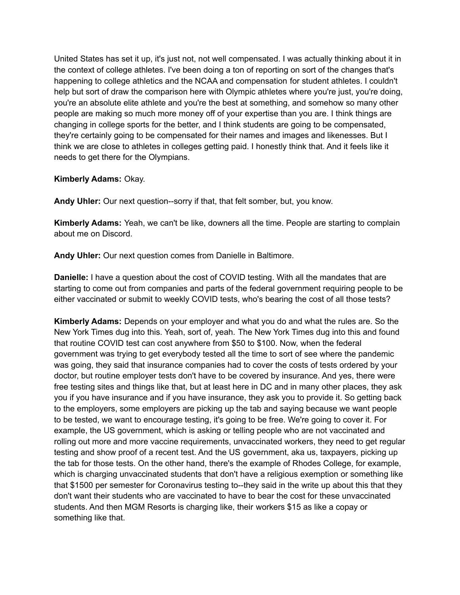United States has set it up, it's just not, not well compensated. I was actually thinking about it in the context of college athletes. I've been doing a ton of reporting on sort of the changes that's happening to college athletics and the NCAA and compensation for student athletes. I couldn't help but sort of draw the comparison here with Olympic athletes where you're just, you're doing, you're an absolute elite athlete and you're the best at something, and somehow so many other people are making so much more money off of your expertise than you are. I think things are changing in college sports for the better, and I think students are going to be compensated, they're certainly going to be compensated for their names and images and likenesses. But I think we are close to athletes in colleges getting paid. I honestly think that. And it feels like it needs to get there for the Olympians.

## **Kimberly Adams:** Okay.

**Andy Uhler:** Our next question--sorry if that, that felt somber, but, you know.

**Kimberly Adams:** Yeah, we can't be like, downers all the time. People are starting to complain about me on Discord.

**Andy Uhler:** Our next question comes from Danielle in Baltimore.

**Danielle:** I have a question about the cost of COVID testing. With all the mandates that are starting to come out from companies and parts of the federal government requiring people to be either vaccinated or submit to weekly COVID tests, who's bearing the cost of all those tests?

**Kimberly Adams:** Depends on your employer and what you do and what the rules are. So the New York Times dug into this. Yeah, sort of, yeah. The New York Times dug into this and found that routine COVID test can cost anywhere from \$50 to \$100. Now, when the federal government was trying to get everybody tested all the time to sort of see where the pandemic was going, they said that insurance companies had to cover the costs of tests ordered by your doctor, but routine employer tests don't have to be covered by insurance. And yes, there were free testing sites and things like that, but at least here in DC and in many other places, they ask you if you have insurance and if you have insurance, they ask you to provide it. So getting back to the employers, some employers are picking up the tab and saying because we want people to be tested, we want to encourage testing, it's going to be free. We're going to cover it. For example, the US government, which is asking or telling people who are not vaccinated and rolling out more and more vaccine requirements, unvaccinated workers, they need to get regular testing and show proof of a recent test. And the US government, aka us, taxpayers, picking up the tab for those tests. On the other hand, there's the example of Rhodes College, for example, which is charging unvaccinated students that don't have a religious exemption or something like that \$1500 per semester for Coronavirus testing to--they said in the write up about this that they don't want their students who are vaccinated to have to bear the cost for these unvaccinated students. And then MGM Resorts is charging like, their workers \$15 as like a copay or something like that.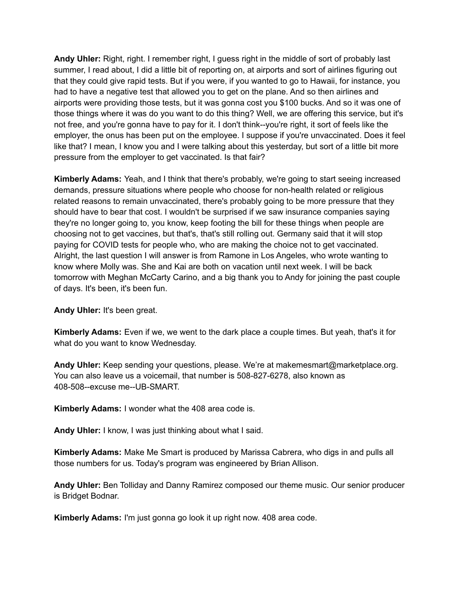**Andy Uhler:** Right, right. I remember right, I guess right in the middle of sort of probably last summer, I read about, I did a little bit of reporting on, at airports and sort of airlines figuring out that they could give rapid tests. But if you were, if you wanted to go to Hawaii, for instance, you had to have a negative test that allowed you to get on the plane. And so then airlines and airports were providing those tests, but it was gonna cost you \$100 bucks. And so it was one of those things where it was do you want to do this thing? Well, we are offering this service, but it's not free, and you're gonna have to pay for it. I don't think--you're right, it sort of feels like the employer, the onus has been put on the employee. I suppose if you're unvaccinated. Does it feel like that? I mean, I know you and I were talking about this yesterday, but sort of a little bit more pressure from the employer to get vaccinated. Is that fair?

**Kimberly Adams:** Yeah, and I think that there's probably, we're going to start seeing increased demands, pressure situations where people who choose for non-health related or religious related reasons to remain unvaccinated, there's probably going to be more pressure that they should have to bear that cost. I wouldn't be surprised if we saw insurance companies saying they're no longer going to, you know, keep footing the bill for these things when people are choosing not to get vaccines, but that's, that's still rolling out. Germany said that it will stop paying for COVID tests for people who, who are making the choice not to get vaccinated. Alright, the last question I will answer is from Ramone in Los Angeles, who wrote wanting to know where Molly was. She and Kai are both on vacation until next week. I will be back tomorrow with Meghan McCarty Carino, and a big thank you to Andy for joining the past couple of days. It's been, it's been fun.

**Andy Uhler:** It's been great.

**Kimberly Adams:** Even if we, we went to the dark place a couple times. But yeah, that's it for what do you want to know Wednesday.

**Andy Uhler:** Keep sending your questions, please. We're at makemesmart@marketplace.org. You can also leave us a voicemail, that number is 508-827-6278, also known as 408-508--excuse me--UB-SMART.

**Kimberly Adams:** I wonder what the 408 area code is.

**Andy Uhler:** I know, I was just thinking about what I said.

**Kimberly Adams:** Make Me Smart is produced by Marissa Cabrera, who digs in and pulls all those numbers for us. Today's program was engineered by Brian Allison.

**Andy Uhler:** Ben Tolliday and Danny Ramirez composed our theme music. Our senior producer is Bridget Bodnar.

**Kimberly Adams:** I'm just gonna go look it up right now. 408 area code.